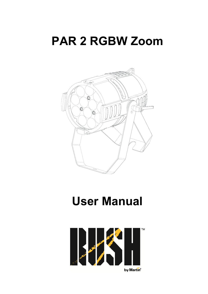# **PAR 2 RGBW Zoom**



# **User Manual**

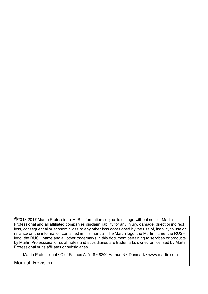©2013-2017 Martin Professional ApS. Information subject to change without notice. Martin Professional and all affiliated companies disclaim liability for any injury, damage, direct or indirect loss, consequential or economic loss or any other loss occasioned by the use of, inability to use or reliance on the information contained in this manual. The Martin logo, the Martin name, the RUSH logo, the RUSH name and all other trademarks in this document pertaining to services or products by Martin Professional or its affiliates and subsidiaries are trademarks owned or licensed by Martin Professional or its affiliates or subsidiaries.

Martin Professional • Olof Palmes Allé 18 • 8200 Aarhus N • Denmark • www.martin.com

Manual: Revision I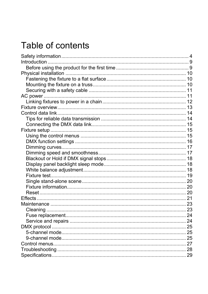# Table of contents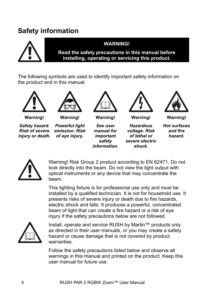# **Safety information**



### **WARNING!**

**Read the safety precautions in this manual before installing, operating or servicing this product.**

The following symbols are used to identify important safety information on the product and in this manual:





**Warning!** 

*Safety hazard. Risk of severe injury or death.* 

**Warning!**  *Powerful light emission. Risk of eye injury.* 



**Warning!** 

*See user manual for important safety information.* 



**Warning!** 

*Hazardous voltage. Risk of lethal or severe electric shock.* 



**Warning!**  *Hot surfaces* 

*and fire hazard.* 



Warning! Risk Group 2 product according to EN 62471. Do not look directly into the beam. Do not view the light output with optical instruments or any device that may concentrate the beam.

This lighting fixture is for professional use only and must be installed by a qualified technician. It is not for household use. It presents risks of severe injury or death due to fire hazards, electric shock and falls. It produces a powerful, concentrated beam of light that can create a fire hazard or a risk of eye injury if the safety precautions below are not followed.



Install, operate and service RUSH by Martin™ products only as directed in their user manuals, or you may create a safety hazard or cause damage that is not covered by product warranties.

Follow the safety precautions listed below and observe all warnings in this manual and printed on the product. Keep this user manual for future use.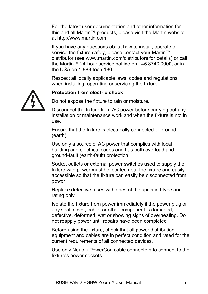For the latest user documentation and other information for this and all Martin™ products, please visit the Martin website at http://www.martin.com

If you have any questions about how to install, operate or service the fixture safely, please contact your Martin™ distributor (see www.martin.com/distributors for details) or call the Martin™ 24-hour service hotline on +45 8740 0000, or in the USA on 1-888-tech-180.

Respect all locally applicable laws, codes and regulations when installing, operating or servicing the fixture.

### **Protection from electric shock**

Do not expose the fixture to rain or moisture.

Disconnect the fixture from AC power before carrying out any installation or maintenance work and when the fixture is not in use.

Ensure that the fixture is electrically connected to ground (earth).

Use only a source of AC power that complies with local building and electrical codes and has both overload and ground-fault (earth-fault) protection.

Socket outlets or external power switches used to supply the fixture with power must be located near the fixture and easily accessible so that the fixture can easily be disconnected from power.

Replace defective fuses with ones of the specified type and rating only.

Isolate the fixture from power immediately if the power plug or any seal, cover, cable, or other component is damaged, defective, deformed, wet or showing signs of overheating. Do not reapply power until repairs have been completed

Before using the fixture, check that all power distribution equipment and cables are in perfect condition and rated for the current requirements of all connected devices.

Use only Neutrik PowerCon cable connectors to connect to the fixture's power sockets.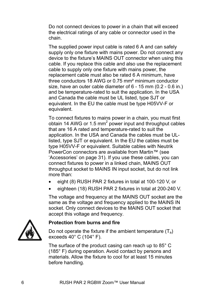Do not connect devices to power in a chain that will exceed the electrical ratings of any cable or connector used in the chain.

The supplied power input cable is rated 6 A and can safely supply only one fixture with mains power. Do not connect any device to the fixture's MAINS OUT connector when using this cable. If you replace this cable and also use the replacement cable to supply only one fixture with mains power, the replacement cable must also be rated 6 A minimum, have three conductors 18 AWG or 0.75 mm² minimum conductor size, have an outer cable diameter of 6 - 15 mm (0.2 - 0.6 in.) and be temperature-rated to suit the application. In the USA and Canada the cable must be UL listed, type SJT or equivalent. In the EU the cable must be type H05VV-F or equivalent.

To connect fixtures to mains power in a chain, you must first obtain 14 AWG or 1.5 mm<sup>2</sup> power input and throughput cables that are 16 A rated and temperature-rated to suit the application. In the USA and Canada the cables must be ULlisted, type SJT or equivalent. In the EU the cables must be type H05VV-F or equivalent. Suitable cables with Neutrik PowerCon connectors are available from Martin™ (see 'Accessories' on page 31). If you use these cables, you can connect fixtures to power in a linked chain, MAINS OUT throughput socket to MAINS IN input socket, but do not link more than:

- eight (8) RUSH PAR 2 fixtures in total at 100-120 V, or
- eighteen (18) RUSH PAR 2 fixtures in total at 200-240 V.

The voltage and frequency at the MAINS OUT socket are the same as the voltage and frequency applied to the MAINS IN socket. Only connect devices to the MAINS OUT socket that accept this voltage and frequency.



### **Protection from burns and fire**

Do not operate the fixture if the ambient temperature  $(T_a)$ exceeds 40° C (104° F).

The surface of the product casing can reach up to 85° C (185° F) during operation. Avoid contact by persons and materials. Allow the fixture to cool for at least 15 minutes before handling.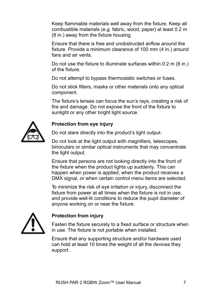Keep flammable materials well away from the fixture. Keep all combustible materials (e.g. fabric, wood, paper) at least 0.2 m (8 in.) away from the fixture housing.

Ensure that there is free and unobstructed airflow around the fixture. Provide a minimum clearance of 100 mm (4 in.) around fans and air vents.

Do not use the fixture to illuminate surfaces within 0.2 m (8 in.) of the fixture.

Do not attempt to bypass thermostatic switches or fuses.

Do not stick filters, masks or other materials onto any optical component.

The fixture's lenses can focus the sun's rays, creating a risk of fire and damage. Do not expose the front of the fixture to sunlight or any other bright light source.



### **Protection from eye injury**

Do not stare directly into the product's light output.

Do not look at the light output with magnifiers, telescopes, binoculars or similar optical instruments that may concentrate the light output.

Ensure that persons are not looking directly into the front of the fixture when the product lights up suddenly. This can happen when power is applied, when the product receives a DMX signal, or when certain control menu items are selected.

To minimize the risk of eye irritation or injury, disconnect the fixture from power at all times when the fixture is not in use, and provide well-lit conditions to reduce the pupil diameter of anyone working on or near the fixture.



### **Protection from injury**

Fasten the fixture securely to a fixed surface or structure when in use. The fixture is not portable when installed.

Ensure that any supporting structure and/or hardware used can hold at least 10 times the weight of all the devices they support.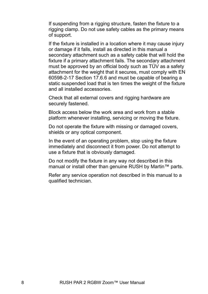If suspending from a rigging structure, fasten the fixture to a rigging clamp. Do not use safety cables as the primary means of support.

If the fixture is installed in a location where it may cause injury or damage if it falls, install as directed in this manual a secondary attachment such as a safety cable that will hold the fixture if a primary attachment fails. The secondary attachment must be approved by an official body such as TÜV as a safety attachment for the weight that it secures, must comply with EN 60598-2-17 Section 17.6.6 and must be capable of bearing a static suspended load that is ten times the weight of the fixture and all installed accessories.

Check that all external covers and rigging hardware are securely fastened.

Block access below the work area and work from a stable platform whenever installing, servicing or moving the fixture.

Do not operate the fixture with missing or damaged covers, shields or any optical component.

In the event of an operating problem, stop using the fixture immediately and disconnect it from power. Do not attempt to use a fixture that is obviously damaged.

Do not modify the fixture in any way not described in this manual or install other than genuine RUSH by Martin™ parts.

Refer any service operation not described in this manual to a qualified technician.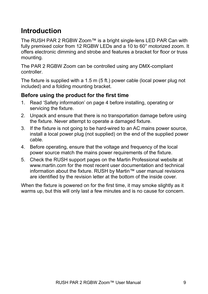# **Introduction**

The RUSH PAR 2 RGBW Zoom™ is a bright single-lens LED PAR Can with fully premixed color from 12 RGBW LEDs and a 10 to 60° motorized zoom. It offers electronic dimming and strobe and features a bracket for floor or truss mounting.

The PAR 2 RGBW Zoom can be controlled using any DMX-compliant controller.

The fixture is supplied with a 1.5 m (5 ft.) power cable (local power plug not included) and a folding mounting bracket.

### **Before using the product for the first time**

- 1. Read 'Safety information' on page 4 before installing, operating or servicing the fixture.
- 2. Unpack and ensure that there is no transportation damage before using the fixture. Never attempt to operate a damaged fixture.
- 3. If the fixture is not going to be hard-wired to an AC mains power source, install a local power plug (not supplied) on the end of the supplied power cable.
- 4. Before operating, ensure that the voltage and frequency of the local power source match the mains power requirements of the fixture.
- 5. Check the RUSH support pages on the Martin Professional website at www.martin.com for the most recent user documentation and technical information about the fixture. RUSH by Martin™ user manual revisions are identified by the revision letter at the bottom of the inside cover.

When the fixture is powered on for the first time, it may smoke slightly as it warms up, but this will only last a few minutes and is no cause for concern.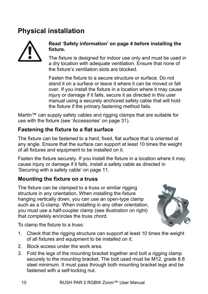# **Physical installation**



### **Read 'Safety information' on page 4 before installing the fixture.**

The fixture is designed for indoor use only and must be used in a dry location with adequate ventilation. Ensure that none of the fixture's ventilation slots are blocked.

Fasten the fixture to a secure structure or surface. Do not stand it on a surface or leave it where it can be moved or fall over. If you install the fixture in a location where it may cause injury or damage if it falls, secure it as directed in this user manual using a securely anchored safety cable that will hold the fixture if the primary fastening method fails.

Martin™ can supply safety cables and rigging clamps that are suitable for use with the fixture (see 'Accessories' on page 31).

### **Fastening the fixture to a flat surface**

The fixture can be fastened to a hard, fixed, flat surface that is oriented at any angle. Ensure that the surface can support at least 10 times the weight of all fixtures and equipment to be installed on it.

Fasten the fixture securely. If you install the fixture in a location where it may cause injury or damage if it falls, install a safety cable as directed in 'Securing with a safety cable' on page 11.

### **Mounting the fixture on a truss**

The fixture can be clamped to a truss or similar rigging structure in any orientation. When installing the fixture hanging vertically down, you can use an open-type clamp such as a G-clamp. When installing in any other orientation, you must use a half-coupler clamp (see illustration on right) that completely encircles the truss chord.



To clamp the fixture to a truss:

- 1. Check that the rigging structure can support at least 10 times the weight of all fixtures and equipment to be installed on it.
- 2. Block access under the work area.
- 3. Fold the legs of the mounting bracket together and bolt a rigging clamp securely to the mounting bracket. The bolt used must be M12, grade 8.8 steel minimum. It must pass through both mounting bracket legs and be fastened with a self-locking nut.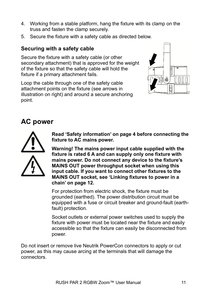- 4. Working from a stable platform, hang the fixture with its clamp on the truss and fasten the clamp securely.
- 5. Secure the fixture with a safety cable as directed below.

### **Securing with a safety cable**

Secure the fixture with a safety cable (or other secondary attachment) that is approved for the weight of the fixture so that the safety cable will hold the fixture if a primary attachment fails.

Loop the cable through one of the safety cable attachment points on the fixture (see arrows in illustration on right) and around a secure anchoring point.



# **AC power**



**Read 'Safety information' on page 4 before connecting the fixture to AC mains power.** 

**Warning! The mains power input cable supplied with the fixture is rated 6 A and can supply only one fixture with mains power. Do not connect any device to the fixture's MAINS OUT power throughput socket when using this input cable. If you want to connect other fixtures to the MAINS OUT socket, see 'Linking fixtures to power in a chain' on page 12.** 

For protection from electric shock, the fixture must be grounded (earthed). The power distribution circuit must be equipped with a fuse or circuit breaker and ground-fault (earthfault) protection.

Socket outlets or external power switches used to supply the fixture with power must be located near the fixture and easily accessible so that the fixture can easily be disconnected from power.

Do not insert or remove live Neutrik PowerCon connectors to apply or cut power, as this may cause arcing at the terminals that will damage the connectors.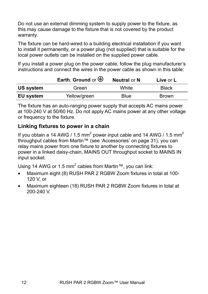Do not use an external dimming system to supply power to the fixture, as this may cause damage to the fixture that is not covered by the product warranty.

The fixture can be hard-wired to a building electrical installation if you want to install it permanently, or a power plug (not supplied) that is suitable for the local power outlets can be installed on the supplied power cable.

If you install a power plug on the power cable, follow the plug manufacturer's instructions and connect the wires in the power cable as shown in this table:

|                  | Earth, Ground or $\bigoplus$ | <b>Neutral or N</b> | Live or L    |  |
|------------------|------------------------------|---------------------|--------------|--|
| US system        | Green                        | White               | <b>Black</b> |  |
| <b>EU system</b> | Yellow/green                 | Blue                | <b>Brown</b> |  |

The fixture has an auto-ranging power supply that accepts AC mains power at 100-240 V at 50/60 Hz. Do not apply AC mains power at any other voltage or frequency to the fixture.

### **Linking fixtures to power in a chain**

If you obtain a 14 AWG / 1.5 mm<sup>2</sup> power input cable and 14 AWG / 1.5 mm<sup>2</sup> throughput cables from Martin™ (see 'Accessories' on page 31), you can relay mains power from one fixture to another by connecting fixtures to power in a linked daisy-chain, MAINS OUT throughput socket to MAINS IN input socket.

Using 14 AWG or 1.5 mm<sup>2</sup> cables from Martin™, you can link:

- Maximum eight (8) RUSH PAR 2 RGBW Zoom fixtures in total at 100- 120 V, or
- Maximum eighteen (18) RUSH PAR 2 RGBW Zoom fixtures in total at 200-240 V.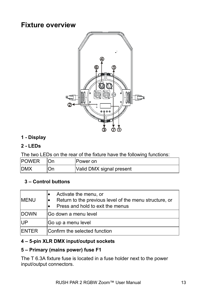# **Fixture overview**



### **1 - Display**

### **2 - LEDs**

The two LEDs on the rear of the fixture have the following functions:

| <b>IPOWER</b> | On | Power on                 |
|---------------|----|--------------------------|
| <b>IDMX</b>   | On | Valid DMX signal present |

### **3 – Control buttons**

| <b>MENU</b>   | Activate the menu, or<br>Return to the previous level of the menu structure, or<br>Press and hold to exit the menus |
|---------------|---------------------------------------------------------------------------------------------------------------------|
| <b>IDOWN</b>  | Go down a menu level                                                                                                |
| lUP           | Go up a menu level                                                                                                  |
| <b>IENTER</b> | Confirm the selected function                                                                                       |

### **4 – 5-pin XLR DMX input/output sockets**

### **5 – Primary (mains power) fuse F1**

The T 6.3A fixture fuse is located in a fuse holder next to the power input/output connectors.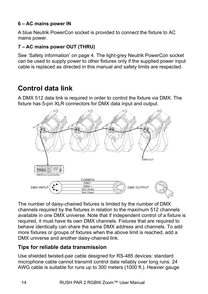### **6 – AC mains power IN**

A blue Neutrik PowerCon socket is provided to connect the fixture to AC mains power.

### **7 – AC mains power OUT (THRU)**

See 'Safety information' on page 4. The light-grey Neutrik PowerCon socket can be used to supply power to other fixtures only if the supplied power input cable is replaced as directed in this manual and safety limits are respected.

# **Control data link**

A DMX 512 data link is required in order to control the fixture via DMX. The fixture has 5-pin XLR connectors for DMX data input and output.



The number of daisy-chained fixtures is limited by the number of DMX channels required by the fixtures in relation to the maximum 512 channels available in one DMX universe. Note that if independent control of a fixture is required, it must have its own DMX channels. Fixtures that are required to behave identically can share the same DMX address and channels. To add more fixtures or groups of fixtures when the above limit is reached, add a DMX universe and another daisy-chained link.

### **Tips for reliable data transmission**

Use shielded twisted-pair cable designed for RS-485 devices: standard microphone cable cannot transmit control data reliably over long runs. 24 AWG cable is suitable for runs up to 300 meters (1000 ft.). Heavier gauge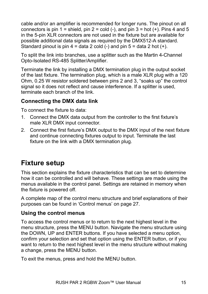cable and/or an amplifier is recommended for longer runs. The pinout on all connectors is pin 1 = shield, pin 2 = cold (-), and pin 3 = hot (+). Pins 4 and 5 in the 5-pin XLR connectors are not used in the fixture but are available for possible additional data signals as required by the DMX512-A standard. Standard pinout is pin  $4 =$  data 2 cold  $(-)$  and pin  $5 =$  data 2 hot  $(+)$ .

To split the link into branches, use a splitter such as the Martin 4-Channel Opto-Isolated RS-485 Splitter/Amplifier.

Terminate the link by installing a DMX termination plug in the output socket of the last fixture. The termination plug, which is a male XLR plug with a 120 Ohm, 0.25 W resistor soldered between pins 2 and 3, "soaks up" the control signal so it does not reflect and cause interference. If a splitter is used, terminate each branch of the link.

### **Connecting the DMX data link**

To connect the fixture to data:

- 1. Connect the DMX data output from the controller to the first fixture's male XLR DMX input connector.
- 2. Connect the first fixture's DMX output to the DMX input of the next fixture and continue connecting fixtures output to input. Terminate the last fixture on the link with a DMX termination plug.

# **Fixture setup**

This section explains the fixture characteristics that can be set to determine how it can be controlled and will behave. These settings are made using the menus available in the control panel. Settings are retained in memory when the fixture is powered off.

A complete map of the control menu structure and brief explanations of their purposes can be found in 'Control menus' on page 27.

### **Using the control menus**

To access the control menus or to return to the next highest level in the menu structure, press the MENU button. Navigate the menu structure using the DOWN, UP and ENTER buttons. If you have selected a menu option, confirm your selection and set that option using the ENTER button, or if you want to return to the next highest level in the menu structure without making a change, press the MENU button.

To exit the menus, press and hold the MENU button.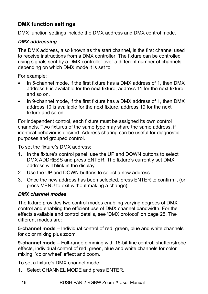### **DMX function settings**

DMX function settings include the DMX address and DMX control mode.

### *DMX addressing*

The DMX address, also known as the start channel, is the first channel used to receive instructions from a DMX controller. The fixture can be controlled using signals sent by a DMX controller over a different number of channels depending on which DMX mode it is set to.

For example:

- In 5-channel mode, if the first fixture has a DMX address of 1, then DMX address 6 is available for the next fixture, address 11 for the next fixture and so on.
- In 9-channel mode, if the first fixture has a DMX address of 1, then DMX address 10 is available for the next fixture, address 19 for the next fixture and so on.

For independent control, each fixture must be assigned its own control channels. Two fixtures of the same type may share the same address, if identical behavior is desired. Address sharing can be useful for diagnostic purposes and grouped control.

To set the fixture's DMX address:

- 1. In the fixture's control panel, use the UP and DOWN buttons to select DMX ADDRESS and press ENTER. The fixture's currently set DMX address will blink in the display.
- 2. Use the UP and DOWN buttons to select a new address.
- 3. Once the new address has been selected, press ENTER to confirm it (or press MENU to exit without making a change).

### *DMX channel modes*

The fixture provides two control modes enabling varying degrees of DMX control and enabling the efficient use of DMX channel bandwidth. For the effects available and control details, see 'DMX protocol' on page 25. The different modes are:

**5-channel mode** – Individual control of red, green, blue and white channels for color mixing plus zoom.

**9-channel mode** – Full-range dimming with 16-bit fine control, shutter/strobe effects, individual control of red, green, blue and white channels for color mixing, 'color wheel' effect and zoom.

To set a fixture's DMX channel mode:

1. Select CHANNEL MODE and press ENTER.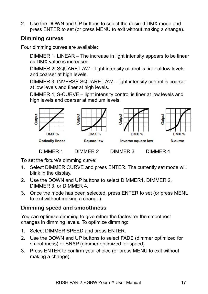2. Use the DOWN and UP buttons to select the desired DMX mode and press ENTER to set (or press MENU to exit without making a change).

### **Dimming curves**

Four dimming curves are available:

DIMMER 1: LINEAR – The increase in light intensity appears to be linear as DMX value is increased.

DIMMER 2: SQUARE LAW – light intensity control is finer at low levels and coarser at high levels.

DIMMER 3: INVERSE SQUARE LAW – light intensity control is coarser at low levels and finer at high levels.

DIMMER 4: S-CURVE – light intensity control is finer at low levels and high levels and coarser at medium levels.



To set the fixture's dimming curve:

- 1. Select DIMMER CURVE and press ENTER. The currently set mode will blink in the display.
- 2. Use the DOWN and UP buttons to select DIMMER1, DIMMER 2, DIMMER 3, or DIMMER 4.
- 3. Once the mode has been selected, press ENTER to set (or press MENU to exit without making a change).

### **Dimming speed and smoothness**

You can optimize dimming to give either the fastest or the smoothest changes in dimming levels. To optimize dimming:

- 1. Select DIMMER SPEED and press ENTER.
- 2. Use the DOWN and UP buttons to select FADE (dimmer optimized for smoothness) or SNAP (dimmer optimized for speed).
- 3. Press ENTER to confirm your choice (or press MENU to exit without making a change).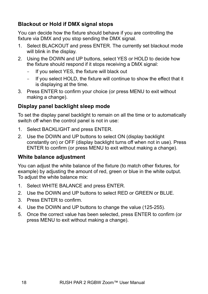### **Blackout or Hold if DMX signal stops**

You can decide how the fixture should behave if you are controlling the fixture via DMX and you stop sending the DMX signal.

- 1. Select BLACKOUT and press ENTER. The currently set blackout mode will blink in the display.
- 2. Using the DOWN and UP buttons, select YES or HOLD to decide how the fixture should respond if it stops receiving a DMX signal:
	- If you select YES, the fixture will black out
	- If you select HOLD, the fixture will continue to show the effect that it is displaying at the time.
- 3. Press ENTER to confirm your choice (or press MENU to exit without making a change).

### **Display panel backlight sleep mode**

To set the display panel backlight to remain on all the time or to automatically switch off when the control panel is not in use:

- 1. Select BACKLIGHT and press ENTER.
- 2. Use the DOWN and UP buttons to select ON (display backlight constantly on) or OFF (display backlight turns off when not in use). Press ENTER to confirm (or press MENU to exit without making a change).

### **White balance adjustment**

You can adjust the white balance of the fixture (to match other fixtures, for example) by adjusting the amount of red, green or blue in the white output. To adjust the white balance mix:

- 1. Select WHITE BALANCE and press ENTER.
- 2. Use the DOWN and UP buttons to select RED or GREEN or BLUE.
- 3. Press ENTER to confirm.
- 4. Use the DOWN and UP buttons to change the value (125-255).
- 5. Once the correct value has been selected, press ENTER to confirm (or press MENU to exit without making a change).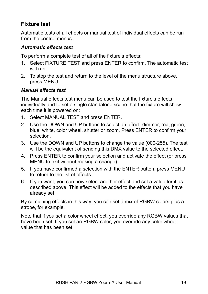### **Fixture test**

Automatic tests of all effects or manual test of individual effects can be run from the control menus.

### *Automatic effects test*

To perform a complete test of all of the fixture's effects:

- 1. Select FIXTURE TEST and press ENTER to confirm. The automatic test will run.
- 2. To stop the test and return to the level of the menu structure above, press MENU.

### *Manual effects test*

The Manual effects test menu can be used to test the fixture's effects individually and to set a single standalone scene that the fixture will show each time it is powered on:

- 1. Select MANUAL TEST and press ENTER.
- 2. Use the DOWN and UP buttons to select an effect: dimmer, red, green, blue, white, color wheel, shutter or zoom. Press ENTER to confirm your selection.
- 3. Use the DOWN and UP buttons to change the value (000-255). The test will be the equivalent of sending this DMX value to the selected effect.
- 4. Press ENTER to confirm your selection and activate the effect (or press MENU to exit without making a change).
- 5. If you have confirmed a selection with the ENTER button, press MENU to return to the list of effects.
- 6. If you want, you can now select another effect and set a value for it as described above. This effect will be added to the effects that you have already set.

By combining effects in this way, you can set a mix of RGBW colors plus a strobe, for example.

Note that if you set a color wheel effect, you override any RGBW values that have been set. If you set an RGBW color, you override any color wheel value that has been set.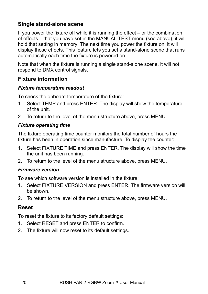### **Single stand-alone scene**

If you power the fixture off while it is running the effect – or the combination of effects – that you have set in the MANUAL TEST menu (see above), it will hold that setting in memory. The next time you power the fixture on, it will display those effects. This feature lets you set a stand-alone scene that runs automatically each time the fixture is powered on.

Note that when the fixture is running a single stand-alone scene, it will not respond to DMX control signals.

### **Fixture information**

### *Fixture temperature readout*

To check the onboard temperature of the fixture:

- 1. Select TEMP and press ENTER. The display will show the temperature of the unit.
- 2. To return to the level of the menu structure above, press MENU.

### *Fixture operating time*

The fixture operating time counter monitors the total number of hours the fixture has been in operation since manufacture. To display the counter:

- 1. Select FIXTURE TIME and press ENTER. The display will show the time the unit has been running.
- 2. To return to the level of the menu structure above, press MENU.

### *Firmware version*

To see which software version is installed in the fixture:

- 1. Select FIXTURE VERSION and press ENTER. The firmware version will be shown.
- 2. To return to the level of the menu structure above, press MENU.

### **Reset**

To reset the fixture to its factory default settings:

- 1. Select RESET and press ENTER to confirm.
- 2. The fixture will now reset to its default settings.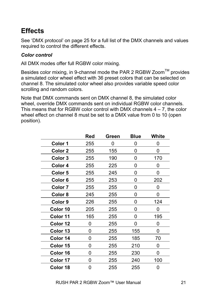# **Effects**

See 'DMX protocol' on page 25 for a full list of the DMX channels and values required to control the different effects.

### *Color control*

All DMX modes offer full RGBW color mixing.

Besides color mixing, in 9-channel mode the PAR 2 RGBW Zoom™ provides a simulated color wheel effect with 36 preset colors that can be selected on channel 8. The simulated color wheel also provides variable speed color scrolling and random colors.

Note that DMX commands sent on DMX channel 8, the simulated color wheel, override DMX commands sent on individual RGBW color channels. This means that for RGBW color control with DMX channels  $4 - 7$ , the color wheel effect on channel 8 must be set to a DMX value from 0 to 10 (open position).

|          | Red | Green | Blue | White |
|----------|-----|-------|------|-------|
| Color 1  | 255 | 0     | 0    | 0     |
| Color 2  | 255 | 155   | 0    | 0     |
| Color 3  | 255 | 190   | 0    | 170   |
| Color 4  | 255 | 225   | 0    | 0     |
| Color 5  | 255 | 245   | 0    | 0     |
| Color 6  | 255 | 253   | 0    | 202   |
| Color 7  | 255 | 255   | 0    | 0     |
| Color 8  | 245 | 255   | 0    | 0     |
| Color 9  | 226 | 255   | 0    | 124   |
| Color 10 | 205 | 255   | 0    | 0     |
| Color 11 | 165 | 255   | 0    | 195   |
| Color 12 | 0   | 255   | 0    | 0     |
| Color 13 | 0   | 255   | 155  | 0     |
| Color 14 | 0   | 255   | 185  | 70    |
| Color 15 | 0   | 255   | 210  | 0     |
| Color 16 | 0   | 255   | 230  | 0     |
| Color 17 | 0   | 255   | 240  | 100   |
| Color 18 | 0   | 255   | 255  | 0     |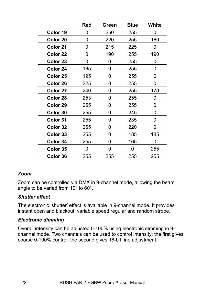|          | Red | Green | Blue | White |
|----------|-----|-------|------|-------|
| Color 19 | 0   | 250   | 255  | O     |
| Color 20 | 0   | 220   | 255  | 160   |
| Color 21 | ი   | 215   | 225  | O     |
| Color 22 | 0   | 190   | 255  | 190   |
| Color 23 | 0   | 0     | 255  | 0     |
| Color 24 | 165 | 0     | 255  | 0     |
| Color 25 | 195 | 0     | 255  | 0     |
| Color 26 | 225 | 0     | 255  | 0     |
| Color 27 | 240 | 0     | 255  | 170   |
| Color 28 | 253 | 0     | 255  | 0     |
| Color 29 | 255 | 0     | 255  | 0     |
| Color 30 | 255 | 0     | 245  | 0     |
| Color 31 | 255 | 0     | 235  | 0     |
| Color 32 | 255 | O     | 220  | ი     |
| Color 33 | 255 | O     | 185  | 185   |
| Color 34 | 255 | 0     | 165  | ი     |
| Color 35 | n   | O     | O    | 255   |
| Color 36 | 255 | 255   | 255  | 255   |

### *Zoom*

Zoom can be controlled via DMX in 9-channel mode, allowing the beam angle to be varied from 10° to 60°.

### *Shutter effect*

The electronic 'shutter' effect is available in 9-channel mode. It provides instant open and blackout, variable speed regular and random strobe.

### *Electronic dimming*

Overall intensity can be adjusted 0-100% using electronic dimming in 9 channel mode. Two channels can be used to control intensity: the first gives coarse 0-100% control, the second gives 16-bit fine adjustment.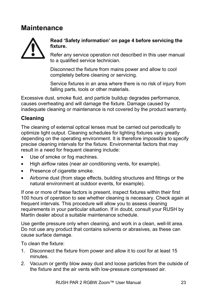## **Maintenance**



### **Read 'Safety information' on page 4 before servicing the fixture.**

Refer any service operation not described in this user manual to a qualified service technician.

Disconnect the fixture from mains power and allow to cool completely before cleaning or servicing.

Service fixtures in an area where there is no risk of injury from falling parts, tools or other materials.

Excessive dust, smoke fluid, and particle buildup degrades performance, causes overheating and will damage the fixture. Damage caused by inadequate cleaning or maintenance is not covered by the product warranty.

### **Cleaning**

The cleaning of external optical lenses must be carried out periodically to optimize light output. Cleaning schedules for lighting fixtures vary greatly depending on the operating environment. It is therefore impossible to specify precise cleaning intervals for the fixture. Environmental factors that may result in a need for frequent cleaning include:

- Use of smoke or fog machines.
- High airflow rates (near air conditioning vents, for example).
- Presence of cigarette smoke.
- Airborne dust (from stage effects, building structures and fittings or the natural environment at outdoor events, for example).

If one or more of these factors is present, inspect fixtures within their first 100 hours of operation to see whether cleaning is necessary. Check again at frequent intervals. This procedure will allow you to assess cleaning requirements in your particular situation. If in doubt, consult your RUSH by Martin dealer about a suitable maintenance schedule.

Use gentle pressure only when cleaning, and work in a clean, well-lit area. Do not use any product that contains solvents or abrasives, as these can cause surface damage.

To clean the fixture:

- 1. Disconnect the fixture from power and allow it to cool for at least 15 minutes.
- 2. Vacuum or gently blow away dust and loose particles from the outside of the fixture and the air vents with low-pressure compressed air.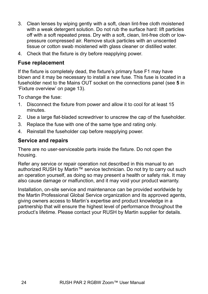- 3. Clean lenses by wiping gently with a soft, clean lint-free cloth moistened with a weak detergent solution. Do not rub the surface hard: lift particles off with a soft repeated press. Dry with a soft, clean, lint-free cloth or lowpressure compressed air. Remove stuck particles with an unscented tissue or cotton swab moistened with glass cleaner or distilled water.
- 4. Check that the fixture is dry before reapplying power.

### **Fuse replacement**

If the fixture is completely dead, the fixture's primary fuse F1 may have blown and it may be necessary to install a new fuse. This fuse is located in a fuseholder next to the Mains OUT socket on the connections panel (see **5** in 'Fixture overview' on page 13).

To change the fuse:

- 1. Disconnect the fixture from power and allow it to cool for at least 15 minutes.
- 2. Use a large flat-bladed screwdriver to unscrew the cap of the fuseholder.
- 3. Replace the fuse with one of the same type and rating only.
- 4. Reinstall the fuseholder cap before reapplying power.

### **Service and repairs**

There are no user-serviceable parts inside the fixture. Do not open the housing.

Refer any service or repair operation not described in this manual to an authorized RUSH by Martin™ service technician. Do not try to carry out such an operation yourself, as doing so may present a health or safety risk. It may also cause damage or malfunction, and it may void your product warranty.

Installation, on-site service and maintenance can be provided worldwide by the Martin Professional Global Service organization and its approved agents, giving owners access to Martin's expertise and product knowledge in a partnership that will ensure the highest level of performance throughout the product's lifetime. Please contact your RUSH by Martin supplier for details.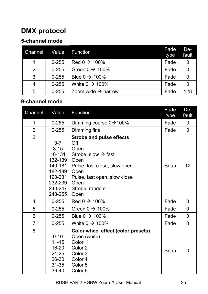# **DMX protocol**

### **5-channel mode**

| Channel | Value     | <b>Function</b>                | Fade<br>type | De-<br>fault |
|---------|-----------|--------------------------------|--------------|--------------|
|         | $0 - 255$ | $Red 0 \rightarrow 100\%$      | Fade         | 0            |
| 2       | $0 - 255$ | Green $0 \rightarrow 100\%$    | Fade         | 0            |
| 3       | $0 - 255$ | Blue $0 \rightarrow 100\%$     | Fade         | 0            |
| 4       | $0 - 255$ | White $0 \rightarrow 100\%$    | Fade         | 0            |
| 5       | $0 - 255$ | Zoom wide $\rightarrow$ narrow | Fade         | 128          |

### **9-channel mode**

| Channel        | Value                                                                                                      | Function                                                                                                                                                                                            | Fade<br>type | De-<br>fault |
|----------------|------------------------------------------------------------------------------------------------------------|-----------------------------------------------------------------------------------------------------------------------------------------------------------------------------------------------------|--------------|--------------|
| 1              | $0 - 255$                                                                                                  | Dimming coarse 0→100%                                                                                                                                                                               | Fade         | 0            |
| $\overline{2}$ | $0 - 255$                                                                                                  | Dimming fine                                                                                                                                                                                        | Fade         | $\Omega$     |
| 3              | $0 - 7$<br>$8 - 15$<br>16-131<br>132-139<br>140-181<br>182-189<br>190-231<br>232-239<br>240-247<br>248-255 | <b>Strobe and pulse effects</b><br>Off<br>Open<br>Strobe, slow $\rightarrow$ fast<br>Open<br>Pulse, fast close, slow open<br>Open<br>Pulse, fast open, slow close<br>Open<br>Strobe, random<br>Open | Snap         | 12           |
| 4              | $0 - 255$                                                                                                  | Red $0 \rightarrow 100\%$                                                                                                                                                                           | Fade         | 0            |
| 5              | $0 - 255$                                                                                                  | Green $0 \rightarrow 100\%$                                                                                                                                                                         | Fade         | 0            |
| 6              | $0 - 255$                                                                                                  | Blue $0 \rightarrow 100\%$                                                                                                                                                                          | Fade         | 0            |
| $\overline{7}$ | $0 - 255$                                                                                                  | White $0 \rightarrow 100\%$                                                                                                                                                                         | Fade         | $\Omega$     |
| 8              | $0 - 10$<br>$11 - 15$<br>16-20<br>$21 - 25$<br>26-30<br>$31 - 35$<br>36-40                                 | Color wheel effect (color presets)<br>Open (white)<br>Color 1<br>Color 2<br>Color <sub>3</sub><br>Color 4<br>Color 5<br>Color <sub>6</sub>                                                          | Snap         | $\Omega$     |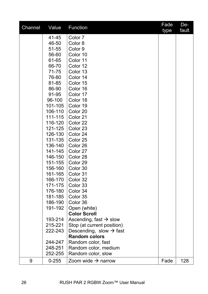| Channel | Value     | Function                            | Fade<br>type | De-<br>fault |
|---------|-----------|-------------------------------------|--------------|--------------|
|         | 41-45     | Color 7                             |              |              |
|         | 46-50     | Color 8                             |              |              |
|         | 51-55     | Color 9                             |              |              |
|         | 56-60     | Color 10                            |              |              |
|         | 61-65     | Color 11                            |              |              |
|         | 66-70     | Color 12                            |              |              |
|         | 71-75     | Color 13                            |              |              |
|         | 76-80     | Color 14                            |              |              |
|         | 81-85     | Color 15                            |              |              |
|         | 86-90     | Color 16                            |              |              |
|         | 91-95     | Color 17                            |              |              |
|         | 96-100    | Color 18                            |              |              |
|         | 101-105   | Color 19                            |              |              |
|         | 106-110   | Color 20                            |              |              |
|         | 111-115   | Color 21                            |              |              |
|         | 116-120   | Color 22                            |              |              |
|         | 121-125   | Color 23                            |              |              |
|         | 126-130   | Color 24                            |              |              |
|         | 131-135   | Color 25                            |              |              |
|         | 136-140   | Color 26                            |              |              |
|         | 141-145   | Color 27                            |              |              |
|         | 146-150   | Color 28                            |              |              |
|         | 151-155   | Color 29                            |              |              |
|         | 156-160   | Color 30                            |              |              |
|         | 161-165   | Color 31                            |              |              |
|         | 166-170   | Color 32                            |              |              |
|         | 171-175   | Color 33                            |              |              |
|         | 176-180   | Color 34                            |              |              |
|         | 181-185   | Color 35                            |              |              |
|         | 186-190   | Color 36                            |              |              |
|         | 191-192   | Open (white)<br><b>Color Scroll</b> |              |              |
|         | 193-214   | Ascending, fast $\rightarrow$ slow  |              |              |
|         | 215-221   | Stop (at current position)          |              |              |
|         | 222-243   | Descending, slow $\rightarrow$ fast |              |              |
|         |           | <b>Random colors</b>                |              |              |
|         | 244-247   | Random color, fast                  |              |              |
|         | 248-251   | Random color, medium                |              |              |
|         | 252-255   | Random color, slow                  |              |              |
| 9       | $0 - 255$ | Zoom wide $\rightarrow$ narrow      | Fade         | 128          |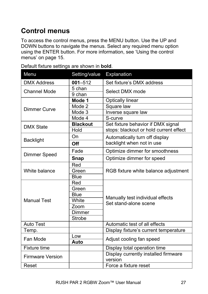# **Control menus**

To access the control menus, press the MENU button. Use the UP and DOWN buttons to navigate the menus. Select any required menu option using the ENTER button. For more information, see 'Using the control menus' on page 15.

| Menu                    | Setting/value   | Explanation                                     |  |
|-------------------------|-----------------|-------------------------------------------------|--|
| <b>DMX Address</b>      | $001 - 512$     | Set fixture's DMX address                       |  |
| Channel Mode            | 5 chan          | Select DMX mode                                 |  |
|                         | 9 chan          |                                                 |  |
|                         | Mode 1          | <b>Optically linear</b>                         |  |
| Dimmer Curve            | Mode 2          | Square law                                      |  |
|                         | Mode 3          | Inverse square law                              |  |
|                         | Mode 4          | S-curve                                         |  |
| <b>DMX State</b>        | <b>Blackout</b> | Set fixture behavior if DMX signal              |  |
|                         | Hold            | stops: blackout or hold current effect          |  |
| <b>Backlight</b>        | On              | Automatically turn off display                  |  |
|                         | Off             | backlight when not in use                       |  |
| Dimmer Speed            | Fade            | Optimize dimmer for smoothness                  |  |
|                         | Snap            | Optimize dimmer for speed                       |  |
| White balance           | Red             | RGB fixture white balance adjustment            |  |
|                         | Green           |                                                 |  |
|                         | <b>Blue</b>     |                                                 |  |
|                         | Red             |                                                 |  |
|                         | Green           |                                                 |  |
|                         | <b>Blue</b>     | Manually test individual effects                |  |
| <b>Manual Test</b>      | White           | Set stand-alone scene                           |  |
|                         | Zoom            |                                                 |  |
|                         | Dimmer          |                                                 |  |
|                         | <b>Strobe</b>   |                                                 |  |
| <b>Auto Test</b>        |                 | Automatic test of all effects                   |  |
| Temp.                   |                 | Display fixture's current temperature           |  |
| Fan Mode                | Low             | Adjust cooling fan speed                        |  |
|                         | Auto            |                                                 |  |
| <b>Fixture time</b>     |                 | Display total operation time                    |  |
| <b>Firmware Version</b> |                 | Display currently installed firmware<br>version |  |
| Reset                   |                 | Force a fixture reset                           |  |

Default fixture settings are shown in **bold**.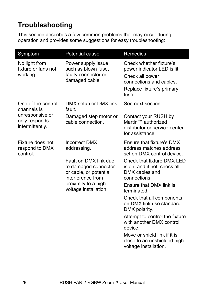# **Troubleshooting**

This section describes a few common problems that may occur during operation and provides some suggestions for easy troubleshooting:

| Symptom                                                                                  | Potential cause                                                                                                                                                                      | Remedies                                                                                                                                                                                                                                                                                                                                                                                                                                                                 |
|------------------------------------------------------------------------------------------|--------------------------------------------------------------------------------------------------------------------------------------------------------------------------------------|--------------------------------------------------------------------------------------------------------------------------------------------------------------------------------------------------------------------------------------------------------------------------------------------------------------------------------------------------------------------------------------------------------------------------------------------------------------------------|
| No light from<br>fixture or fans not<br>working.                                         | Power supply issue,<br>such as blown fuse,<br>faulty connector or<br>damaged cable.                                                                                                  | Check whether fixture's<br>power indicator LED is lit.<br>Check all power<br>connections and cables.<br>Replace fixture's primary<br>fuse.                                                                                                                                                                                                                                                                                                                               |
| One of the control<br>channels is<br>unresponsive or<br>only responds<br>intermittently. | DMX setup or DMX link<br>fault.<br>Damaged step motor or<br>cable connection.                                                                                                        | See next section.<br>Contact your RUSH by<br>Martin™ authorized<br>distributor or service center<br>for assistance.                                                                                                                                                                                                                                                                                                                                                      |
| Fixture does not<br>respond to DMX<br>control.                                           | <b>Incorrect DMX</b><br>addressing.<br>Fault on DMX link due<br>to damaged connector<br>or cable, or potential<br>interference from<br>proximity to a high-<br>voltage installation. | Ensure that fixture's DMX<br>address matches address<br>set on DMX control device.<br>Check that fixture DMX LED<br>is on, and if not, check all<br>DMX cables and<br>connections.<br>Ensure that DMX link is<br>terminated.<br>Check that all components<br>on DMX link use standard<br>DMX polarity.<br>Attempt to control the fixture<br>with another DMX control<br>device.<br>Move or shield link if it is<br>close to an unshielded high-<br>voltage installation. |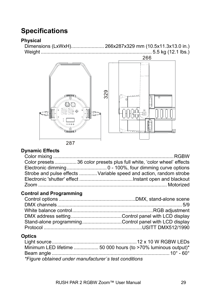# **Specifications**

### **Physical**

Dimensions (LxWxH)........................ 266x287x329 mm (10.5x11.3x13.0 in.) Weight ................................................................................. 5.5 kg (12.1 lbs.)



### **Dynamic Effects**

| Color presets 36 color presets plus full white, 'color wheel' effects |
|-----------------------------------------------------------------------|
|                                                                       |
| Strobe and pulse effects  Variable speed and action, random strobe    |
|                                                                       |
|                                                                       |

### **Control and Programming**

| Stand-alone programmingControl panel with LCD display |  |
|-------------------------------------------------------|--|
|                                                       |  |

### **Optics**

| *Figure obtained under manufacturer's test conditions. |  |
|--------------------------------------------------------|--|

*\*Figure obtained under manufacturer´s test conditions*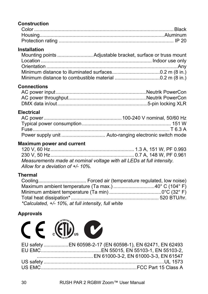### **Construction**

### **Installation**

### **Connections**

### **Electrical**

### **Maximum power and current**

| Measurements made at nominal voltage with all LEDs at full intensity. |  |
|-----------------------------------------------------------------------|--|
| Allow for a deviation of $+/- 10\%$ .                                 |  |

### **Thermal**

| *Calculated, +/- 10%, at full intensity, full white |  |
|-----------------------------------------------------|--|

### **Approvals**

| $C \in \mathbb{C}$ $\mathbb{C}$                          |
|----------------------------------------------------------|
| EU safety EN 60598-2-17 (EN 60598-1), EN 62471, EN 62493 |
|                                                          |
|                                                          |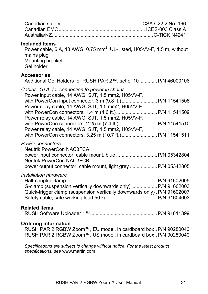#### **Included Items**

Power cable, 6 A, 18 AWG, 0.75 mm<sup>2</sup>, UL- listed, H05VV-F, 1.5 m, without mains plug Mounting bracket Gel holder

#### **Accessories**

Additional Gel Holders for RUSH PAR 2™, set of 10 ............. P/N 46000106

| Cables, 16 A, for connection to power in chains   |  |
|---------------------------------------------------|--|
| Power input cable, 14 AWG, SJT, 1.5 mm2, H05VV-F, |  |
|                                                   |  |
| Power relay cable, 14 AWG, SJT, 1.5 mm2, H05VV-F, |  |
|                                                   |  |
| Power relay cable, 14 AWG, SJT, 1.5 mm2, H05VV-F, |  |
|                                                   |  |
| Power relay cable, 14 AWG, SJT, 1.5 mm2, H05VV-F, |  |
|                                                   |  |
|                                                   |  |

#### *Power connectors*

| Neutrik PowerCon NAC3FCA |  |
|--------------------------|--|
|                          |  |
| Neutrik PowerCon NAC3FCB |  |
|                          |  |

#### *Installation hardware*

| G-clamp (suspension vertically downwards only) P/N 91602003              |  |
|--------------------------------------------------------------------------|--|
| Quick-trigger clamp (suspension vertically downwards only). P/N 91602007 |  |
|                                                                          |  |

### **Related Items**

| RUSH Software Uploader 1™. |  |  |
|----------------------------|--|--|
|----------------------------|--|--|

#### **Ordering Information**

RUSH PAR 2 RGBW Zoom™, EU model, in cardboard box .. P/N 90280040 RUSH PAR 2 RGBW Zoom™, US model, in cardboard box.. P/N 90280040

*Specifications are subject to change without notice. For the latest product specifications, see* www.martin.com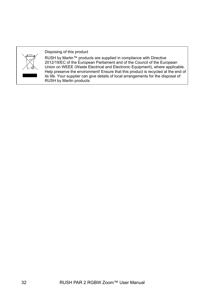

Disposing of this product

RUSH by Martin™ products are supplied in compliance with Directive 2012/19/EC of the European Parliament and of the Council of the European Union on WEEE (Waste Electrical and Electronic Equipment), where applicable. Help preserve the environment! Ensure that this product is recycled at the end of its life. Your supplier can give details of local arrangements for the disposal of RUSH by Martin products